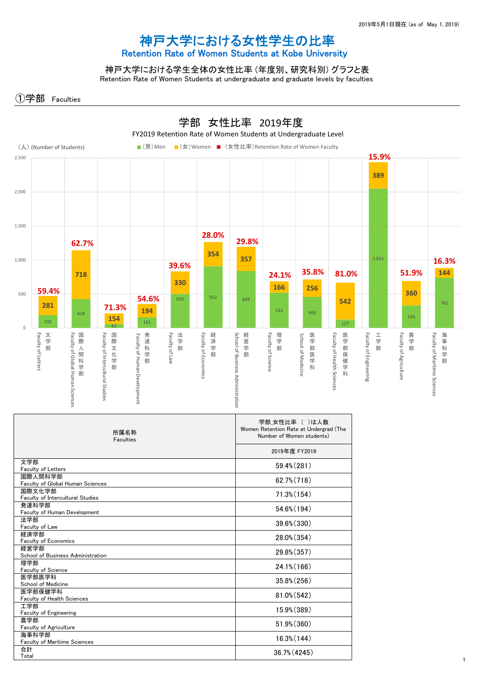## 神戸大学における女性学生の比率 Retention Rate of Women Students at Kobe University

神戸大学における学生全体の女性比率 (年度別、研究科別) グラフと表 Retention Rate of Women Students at undergraduate and graduate levels by faculties

①学部 Faculties



| 所属名称<br>Faculties                           | 学部 女性比率 ( )は人数<br>Women Retention Rate at Undergrad (The<br>Number of Women students) |
|---------------------------------------------|---------------------------------------------------------------------------------------|
|                                             | 2019年度 FY2019                                                                         |
| 文学部<br>Faculty of Letters                   | $59.4\%$ $(281)$                                                                      |
| 国際人間科学部<br>Faculty of Global Human Sciences | 62.7% (718)                                                                           |
| 国際文化学部<br>Faculty of Intercultural Studies  | 71.3% (154)                                                                           |
| 発達科学部<br>Faculty of Human Development       | 54.6% (194)                                                                           |
| 法学部<br>Faculty of Law                       | 39.6% (330)                                                                           |
| 経済学部<br>Faculty of Economics                | 28.0% (354)                                                                           |
| 経営学部<br>School of Business Administration   | 29.8% (357)                                                                           |
| 理学部<br><b>Faculty of Science</b>            | $24.1\%$ (166)                                                                        |
| 医学部医学科<br>School of Medicine                | $35.8\% (256)$                                                                        |
| 医学部保健学科<br>Faculty of Health Sciences       | $81.0\% (542)$                                                                        |
| 工学部<br><b>Faculty of Engineering</b>        | 15.9% (389)                                                                           |
| 農学部<br>Faculty of Agriculture               | 51.9% (360)                                                                           |
| 海事科学部<br>Faculty of Maritime Sciences       | $16.3\%$ $(144)$                                                                      |
| 合計<br>Total                                 | 36.7% (4245)                                                                          |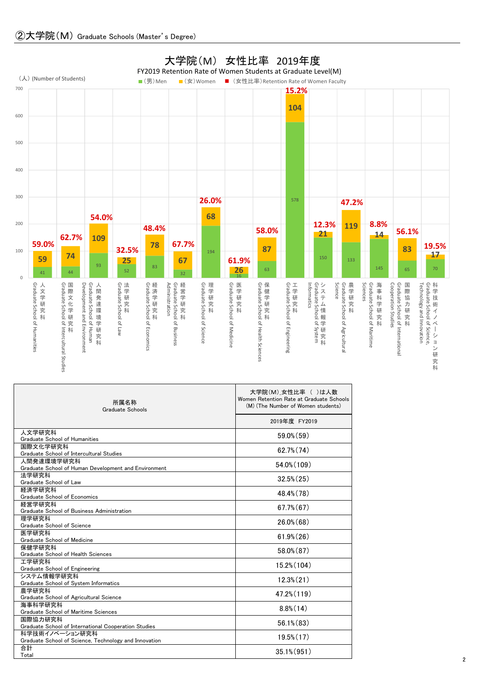

| 所属名称<br>Graduate Schools                                        | 大子阮(M)_女性��举 ( 川よ人致<br>Women Retention Rate at Graduate Schools<br>(M) (The Number of Women students) |
|-----------------------------------------------------------------|-------------------------------------------------------------------------------------------------------|
|                                                                 | 2019年度 FY2019                                                                                         |
| 人文学研究科                                                          | $59.0\%$ (59)                                                                                         |
| Graduate School of Humanities                                   |                                                                                                       |
| 国際文化学研究科<br>Graduate School of Intercultural Studies            | $62.7\%$ $(74)$                                                                                       |
| 人間発達環境学研究科                                                      |                                                                                                       |
| Graduate School of Human Development and Environment            | 54.0% (109)                                                                                           |
| 法学研究科<br>Graduate School of Law                                 | $32.5\%$ $(25)$                                                                                       |
| 経済学研究科                                                          | 48.4% (78)                                                                                            |
| Graduate School of Economics                                    |                                                                                                       |
| 経営学研究科<br>Graduate School of Business Administration            | $67.7\%$ $(67)$                                                                                       |
| 理学研究科                                                           |                                                                                                       |
| Graduate School of Science                                      | $26.0\%$ (68)                                                                                         |
| 医学研究科                                                           | $61.9\%$ $(26)$                                                                                       |
| Graduate School of Medicine                                     |                                                                                                       |
| 保健学研究科                                                          | 58.0% (87)                                                                                            |
| Graduate School of Health Sciences                              |                                                                                                       |
| 工学研究科<br>Graduate School of Engineering                         | $15.2\%$ (104)                                                                                        |
| システム情報学研究科                                                      |                                                                                                       |
| Graduate School of System Informatics                           | $12.3\%$ $(21)$                                                                                       |
| 農学研究科                                                           | 47.2% (119)                                                                                           |
| Graduate School of Agricultural Science                         |                                                                                                       |
| 海事科学研究科                                                         | $8.8\%$ (14)                                                                                          |
| Graduate School of Maritime Sciences                            |                                                                                                       |
| 国際協力研究科<br>Graduate School of International Cooperation Studies | $56.1\%$ $(83)$                                                                                       |
| 科学技術イノベーション研究科                                                  |                                                                                                       |
| Graduate School of Science, Technology and Innovation           | $19.5\%$ $(17)$                                                                                       |
| 合計                                                              |                                                                                                       |
| Total                                                           | $35.1\%$ (951)                                                                                        |

## ②大学院(M) Graduate Schools (Master's Degree)